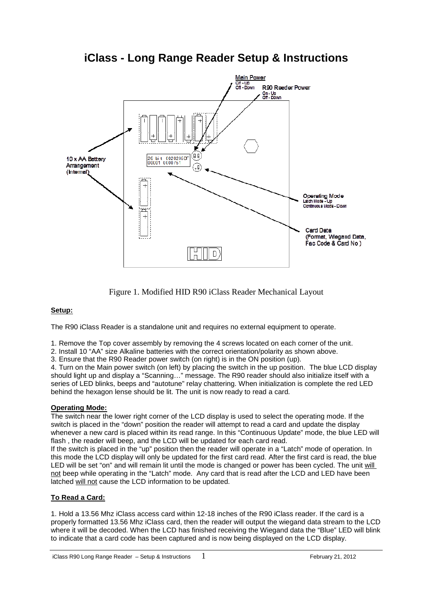



Figure 1. Modified HID R90 iClass Reader Mechanical Layout

## **Setup:**

The R90 iClass Reader is a standalone unit and requires no external equipment to operate.

1. Remove the Top cover assembly by removing the 4 screws located on each corner of the unit.

2. Install 10 "AA" size Alkaline batteries with the correct orientation/polarity as shown above.

3. Ensure that the R90 Reader power switch (on right) is in the ON position (up).

4. Turn on the Main power switch (on left) by placing the switch in the up position. The blue LCD display should light up and display a "Scanning…" message. The R90 reader should also initialize itself with a series of LED blinks, beeps and "autotune" relay chattering. When initialization is complete the red LED behind the hexagon lense should be lit. The unit is now ready to read a card.

## **Operating Mode:**

The switch near the lower right corner of the LCD display is used to select the operating mode. If the switch is placed in the "down" position the reader will attempt to read a card and update the display whenever a new card is placed within its read range. In this "Continuous Update" mode, the blue LED will flash , the reader will beep, and the LCD will be updated for each card read.

If the switch is placed in the "up" position then the reader will operate in a "Latch" mode of operation. In this mode the LCD display will only be updated for the first card read. After the first card is read, the blue LED will be set "on" and will remain lit until the mode is changed or power has been cycled. The unit will not beep while operating in the "Latch" mode. Any card that is read after the LCD and LED have been latched will not cause the LCD information to be updated.

## **To Read a Card:**

1. Hold a 13.56 Mhz iClass access card within 12-18 inches of the R90 iClass reader. If the card is a properly formatted 13.56 Mhz iClass card, then the reader will output the wiegand data stream to the LCD where it will be decoded. When the LCD has finished receiving the Wiegand data the "Blue" LED will blink to indicate that a card code has been captured and is now being displayed on the LCD display.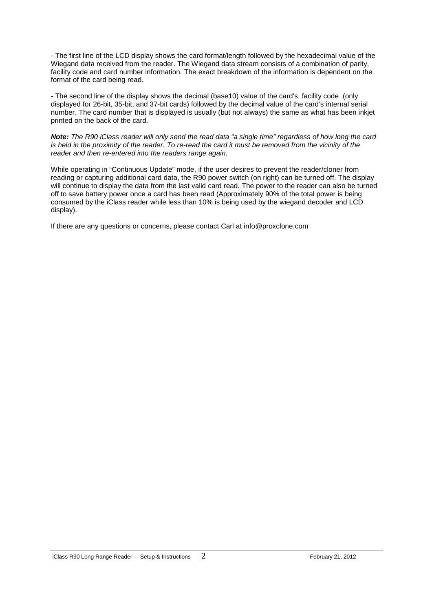- The first line of the LCD display shows the card format/length followed by the hexadecimal value of the Wiegand data received from the reader. The Wiegand data stream consists of a combination of parity, facility code and card number information. The exact breakdown of the information is dependent on the format of the card being read.

- The second line of the display shows the decimal (base10) value of the card's facility code (only displayed for 26-bit, 35-bit, and 37-bit cards) followed by the decimal value of the card's internal serial number. The card number that is displayed is usually (but not always) the same as what has been inkjet printed on the back of the card.

**Note:** The R90 iClass reader will only send the read data "a single time" regardless of how long the card is held in the proximity of the reader. To re-read the card it must be removed from the vicinity of the reader and then re-entered into the readers range again.

While operating in "Continuous Update" mode, if the user desires to prevent the reader/cloner from reading or capturing additional card data, the R90 power switch (on right) can be turned off. The display will continue to display the data from the last valid card read. The power to the reader can also be turned off to save battery power once a card has been read (Approximately 90% of the total power is being consumed by the iClass reader while less than 10% is being used by the wiegand decoder and LCD display).

If there are any questions or concerns, please contact Carl at info@proxclone.com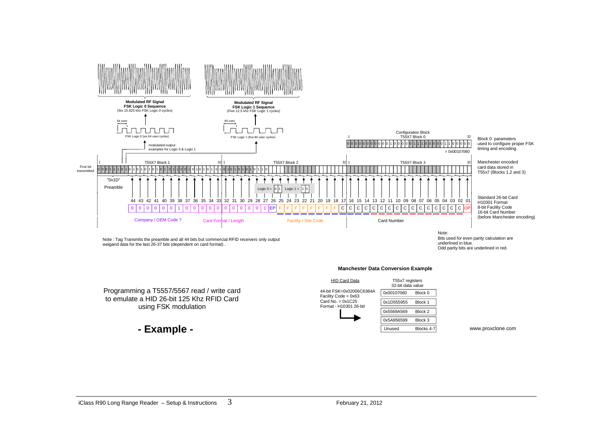

Programming a T5557/5567 read / write card to emulate a HID 26-bit 125 Khz RFID Cardusing FSK modulation

**- Example -**

T55x7 registers 32-bit data value Block 0**HID Card Data** 44-bit FSK=0x02006C6384AFacility Code = 0x63Card No.  $= 0x1C25$  Format - H10301 26-bit0x001070600x1D5559550x5569A5690x5A956599Block 1Block 2Block 3

Unused

Blocks 4-7 www.proxclone.com